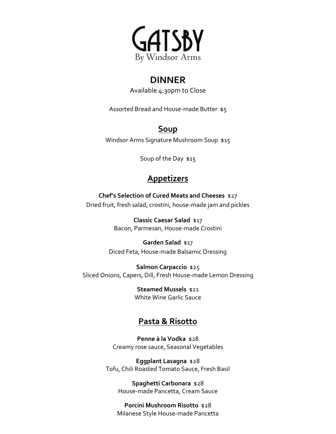

# **DINNER**

Available 4:30pm to Close

Assorted Bread and House-made Butter \$5

### **Soup**

Windsor Arms Signature Mushroom Soup \$15

Soup of the Day \$15

# **Appetizers**

**Chef's Selection of Cured Meats and Cheeses** \$27 Dried fruit, fresh salad, crostini, house-made jam and pickles

> **Classic Caesar Salad** \$17 Bacon, Parmesan, House-made Crostini

# **Garden Salad** \$17

Diced Feta, House-made Balsamic Dressing

**Salmon Carpaccio** \$25 Sliced Onions, Capers, Dill, Fresh House-made Lemon Dressing

> **Steamed Mussels** \$21 White Wine Garlic Sauce

### **Pasta & Risotto**

**Penne à la Vodka** \$28 Creamy rose sauce, Seasonal Vegetables

**Eggplant Lasagna** \$28 Tofu, Chili Roasted Tomato Sauce, Fresh Basil

**Spaghetti Carbonara** \$28 House-made Pancetta, Cream Sauce

**Porcini Mushroom Risotto** \$28 Milanese Style House-made Pancetta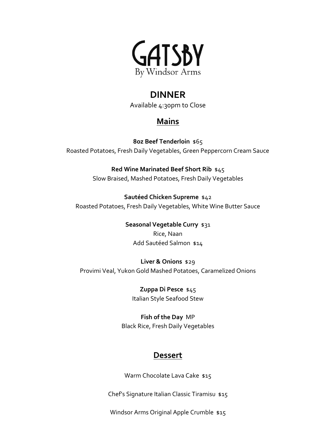

### **DINNER**

Available 4:30pm to Close

# **Mains**

**8oz Beef Tenderloin** \$65 Roasted Potatoes, Fresh Daily Vegetables, Green Peppercorn Cream Sauce

> **Red Wine Marinated Beef Short Rib** \$45 Slow Braised, Mashed Potatoes, Fresh Daily Vegetables

**Sautéed Chicken Supreme** \$42 Roasted Potatoes, Fresh Daily Vegetables, White Wine Butter Sauce

> **Seasonal Vegetable Curry** \$31 Rice, Naan Add Sautéed Salmon \$14

**Liver & Onions** \$29 Provimi Veal, Yukon Gold Mashed Potatoes, Caramelized Onions

> **Zuppa Di Pesce** \$45 Italian Style Seafood Stew

**Fish of the Day** MP Black Rice, Fresh Daily Vegetables

#### **Dessert**

Warm Chocolate Lava Cake \$15

Chef's Signature Italian Classic Tiramisu \$15

Windsor Arms Original Apple Crumble \$15